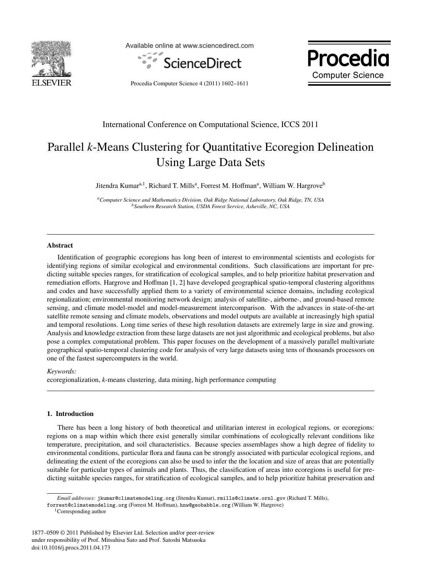

Available online at www.sciencedirect.com



Procedia **Computer Science** 

Procedia Computer Science 4 (2011) 1602–1611

# International Conference on Computational Science, ICCS 2011

# Parallel *k*-Means Clustering for Quantitative Ecoregion Delineation Using Large Data Sets

Jitendra Kumar<sup>a, 1</sup>, Richard T. Mills<sup>a</sup>, Forrest M. Hoffman<sup>a</sup>, William W. Hargrove<sup>b</sup>

*aComputer Science and Mathematics Division, Oak Ridge National Laboratory, Oak Ridge, TN, USA bSouthern Research Station, USDA Forest Service, Asheville, NC, USA*

### Abstract

Identification of geographic ecoregions has long been of interest to environmental scientists and ecologists for identifying regions of similar ecological and environmental conditions. Such classifications are important for predicting suitable species ranges, for stratification of ecological samples, and to help prioritize habitat preservation and remediation efforts. Hargrove and Hoffman [1, 2] have developed geographical spatio-temporal clustering algorithms and codes and have successfully applied them to a variety of environmental science domains, including ecological regionalization; environmental monitoring network design; analysis of satellite-, airborne-, and ground-based remote sensing, and climate model-model and model-measurement intercomparison. With the advances in state-of-the-art satellite remote sensing and climate models, observations and model outputs are available at increasingly high spatial and temporal resolutions. Long time series of these high resolution datasets are extremely large in size and growing. Analysis and knowledge extraction from these large datasets are not just algorithmic and ecological problems, but also pose a complex computational problem. This paper focuses on the development of a massively parallel multivariate geographical spatio-temporal clustering code for analysis of very large datasets using tens of thousands processors on one of the fastest supercomputers in the world.

*Keywords:*

ecoregionalization, *k*-means clustering, data mining, high performance computing

## 1. Introduction

There has been a long history of both theoretical and utilitarian interest in ecological regions, or ecoregions: regions on a map within which there exist generally similar combinations of ecologically relevant conditions like temperature, precipitation, and soil characteristics. Because species assemblages show a high degree of fidelity to environmental conditions, particular flora and fauna can be strongly associated with particular ecological regions, and delineating the extent of the ecoregions can also be used to infer the the location and size of areas that are potentially suitable for particular types of animals and plants. Thus, the classification of areas into ecoregions is useful for predicting suitable species ranges, for stratification of ecological samples, and to help prioritize habitat preservation and

*Email addresses:* jkumar@climatemodeling.org (Jitendra Kumar), rmills@climate.ornl.gov (Richard T. Mills),

forrest@climatemodeling.org (Forrest M. Hoffman), hnw@geobabble.org (William W. Hargrove)

<sup>1</sup>Corresponding author

<sup>1877–0509 © 2011</sup> Published by Elsevier Ltd. Selection and/or peer-review under responsibility of Prof. Mitsuhisa Sato and Prof. Satoshi Matsuoka doi:10.1016/j.procs.2011.04.173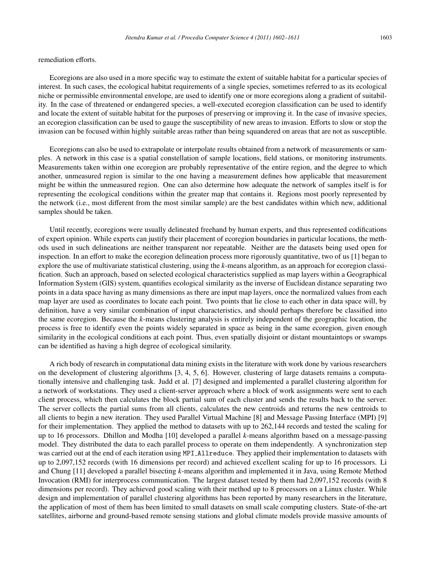remediation efforts.

Ecoregions are also used in a more specific way to estimate the extent of suitable habitat for a particular species of interest. In such cases, the ecological habitat requirements of a single species, sometimes referred to as its ecological niche or permissible environmental envelope, are used to identify one or more ecoregions along a gradient of suitability. In the case of threatened or endangered species, a well-executed ecoregion classification can be used to identify and locate the extent of suitable habitat for the purposes of preserving or improving it. In the case of invasive species, an ecoregion classification can be used to gauge the susceptibility of new areas to invasion. Efforts to slow or stop the invasion can be focused within highly suitable areas rather than being squandered on areas that are not as susceptible.

Ecoregions can also be used to extrapolate or interpolate results obtained from a network of measurements or samples. A network in this case is a spatial constellation of sample locations, field stations, or monitoring instruments. Measurements taken within one ecoregion are probably representative of the entire region, and the degree to which another, unmeasured region is similar to the one having a measurement defines how applicable that measurement might be within the unmeasured region. One can also determine how adequate the network of samples itself is for representing the ecological conditions within the greater map that contains it. Regions most poorly represented by the network (i.e., most different from the most similar sample) are the best candidates within which new, additional samples should be taken.

Until recently, ecoregions were usually delineated freehand by human experts, and thus represented codifications of expert opinion. While experts can justify their placement of ecoregion boundaries in particular locations, the methods used in such delineations are neither transparent nor repeatable. Neither are the datasets being used open for inspection. In an effort to make the ecoregion delineation process more rigorously quantitative, two of us [1] began to explore the use of multivariate statistical clustering, using the *k*-means algorithm, as an approach for ecoregion classification. Such an approach, based on selected ecological characteristics supplied as map layers within a Geographical Information System (GIS) system, quantifies ecological similarity as the inverse of Euclidean distance separating two points in a data space having as many dimensions as there are input map layers, once the normalized values from each map layer are used as coordinates to locate each point. Two points that lie close to each other in data space will, by definition, have a very similar combination of input characteristics, and should perhaps therefore be classified into the same ecoregion. Because the *k*-means clustering analysis is entirely independent of the geographic location, the process is free to identify even the points widely separated in space as being in the same ecoregion, given enough similarity in the ecological conditions at each point. Thus, even spatially disjoint or distant mountaintops or swamps can be identified as having a high degree of ecological similarity.

A rich body of research in computational data mining exists in the literature with work done by various researchers on the development of clustering algorithms [3, 4, 5, 6]. However, clustering of large datasets remains a computationally intensive and challenging task. Judd et al. [7] designed and implemented a parallel clustering algorithm for a network of workstations. They used a client-server approach where a block of work assignments were sent to each client process, which then calculates the block partial sum of each cluster and sends the results back to the server. The server collects the partial sums from all clients, calculates the new centroids and returns the new centroids to all clients to begin a new iteration. They used Parallel Virtual Machine [8] and Message Passing Interface (MPI) [9] for their implementation. They applied the method to datasets with up to 262,144 records and tested the scaling for up to 16 processors. Dhillon and Modha [10] developed a parallel *k*-means algorithm based on a message-passing model. They distributed the data to each parallel process to operate on them independently. A synchronization step was carried out at the end of each iteration using MPI Allreduce. They applied their implementation to datasets with up to 2,097,152 records (with 16 dimensions per record) and achieved excellent scaling for up to 16 processors. Li and Chung [11] developed a parallel bisecting *k*-means algorithm and implemented it in Java, using Remote Method Invocation (RMI) for interprocess communication. The largest dataset tested by them had 2,097,152 records (with 8 dimensions per record). They achieved good scaling with their method up to 8 processors on a Linux cluster. While design and implementation of parallel clustering algorithms has been reported by many researchers in the literature, the application of most of them has been limited to small datasets on small scale computing clusters. State-of-the-art satellites, airborne and ground-based remote sensing stations and global climate models provide massive amounts of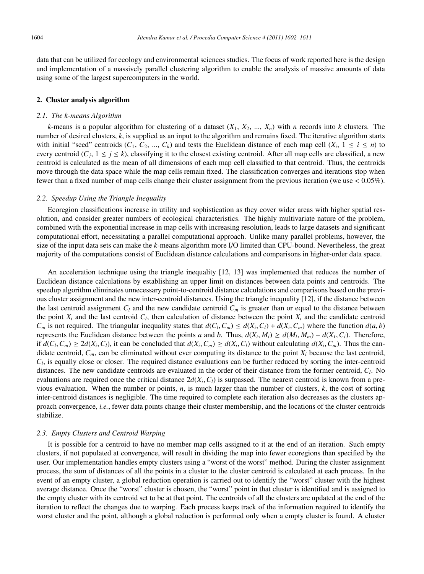data that can be utilized for ecology and environmental sciences studies. The focus of work reported here is the design and implementation of a massively parallel clustering algorithm to enable the analysis of massive amounts of data using some of the largest supercomputers in the world.

#### 2. Cluster analysis algorithm

#### *2.1. The k-means Algorithm*

*k*-means is a popular algorithm for clustering of a dataset  $(X_1, X_2, ..., X_n)$  with *n* records into *k* clusters. The number of desired clusters, *k*, is supplied as an input to the algorithm and remains fixed. The iterative algorithm starts with initial "seed" centroids  $(C_1, C_2, ..., C_k)$  and tests the Euclidean distance of each map cell  $(X_i, 1 \le i \le n)$  to every centroid  $(C_i, 1 \le i \le k)$ , classifying it to the closest existing centroid. After all map cells are classified, a new centroid is calculated as the mean of all dimensions of each map cell classified to that centroid. Thus, the centroids move through the data space while the map cells remain fixed. The classification converges and iterations stop when fewer than a fixed number of map cells change their cluster assignment from the previous iteration (we use < 0.05%).

#### *2.2. Speedup Using the Triangle Inequality*

Ecoregion classifications increase in utility and sophistication as they cover wider areas with higher spatial resolution, and consider greater numbers of ecological characteristics. The highly multivariate nature of the problem, combined with the exponential increase in map cells with increasing resolution, leads to large datasets and significant computational effort, necessitating a parallel computational approach. Unlike many parallel problems, however, the size of the input data sets can make the *k*-means algorithm more I/O limited than CPU-bound. Nevertheless, the great majority of the computations consist of Euclidean distance calculations and comparisons in higher-order data space.

An acceleration technique using the triangle inequality [12, 13] was implemented that reduces the number of Euclidean distance calculations by establishing an upper limit on distances between data points and centroids. The speedup algorithm eliminates unnecessary point-to-centroid distance calculations and comparisons based on the previous cluster assignment and the new inter-centroid distances. Using the triangle inequality [12], if the distance between the last centroid assignment  $C_l$  and the new candidate centroid  $C_m$  is greater than or equal to the distance between the point  $X_i$  and the last centroid  $C_i$ , then calculation of distance between the point  $X_i$  and the candidate centroid *Cm* is not required. The triangular inequality states that  $d(C_l, C_m) \leq d(X_i, C_l) + d(X_i, C_m)$  where the function  $d(a, b)$ represents the Euclidean distance between the points *a* and *b*. Thus,  $d(X_i, M_i) \geq d(M_i, M_m) - d(X_i, C_i)$ . Therefore, if  $d(C_l, C_m) \geq 2d(X_i, C_l)$ , it can be concluded that  $d(X_i, C_m) \geq d(X_i, C_l)$  without calculating  $d(X_i, C_m)$ . Thus the candidate centroid,  $C_m$ , can be eliminated without ever computing its distance to the point  $X_i$  because the last centroid,  $C_l$ , is equally close or closer. The required distance evaluations can be further reduced by sorting the inter-centroid distances. The new candidate centroids are evaluated in the order of their distance from the former centroid, *Cl*. No evaluations are required once the critical distance  $2d(X_i, C_i)$  is surpassed. The nearest centroid is known from a previous evaluation. When the number or points, *n*, is much larger than the number of clusters, *k*, the cost of sorting inter-centroid distances is negligible. The time required to complete each iteration also decreases as the clusters approach convergence, *i.e.*, fewer data points change their cluster membership, and the locations of the cluster centroids stabilize.

# *2.3. Empty Clusters and Centroid Warping*

It is possible for a centroid to have no member map cells assigned to it at the end of an iteration. Such empty clusters, if not populated at convergence, will result in dividing the map into fewer ecoregions than specified by the user. Our implementation handles empty clusters using a "worst of the worst" method. During the cluster assignment process, the sum of distances of all the points in a cluster to the cluster centroid is calculated at each process. In the event of an empty cluster, a global reduction operation is carried out to identify the "worst" cluster with the highest average distance. Once the "worst" cluster is chosen, the "worst" point in that cluster is identified and is assigned to the empty cluster with its centroid set to be at that point. The centroids of all the clusters are updated at the end of the iteration to reflect the changes due to warping. Each process keeps track of the information required to identify the worst cluster and the point, although a global reduction is performed only when a empty cluster is found. A cluster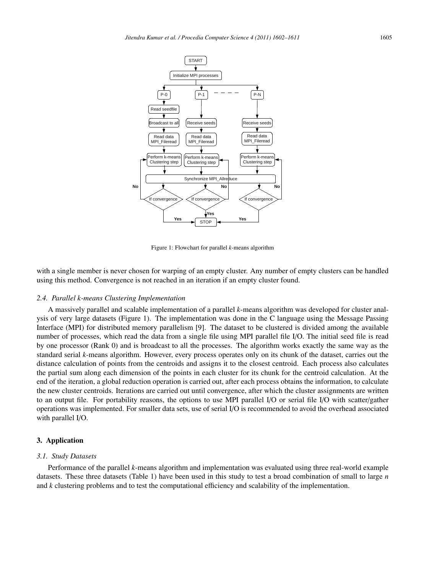

Figure 1: Flowchart for parallel *k*-means algorithm

with a single member is never chosen for warping of an empty cluster. Any number of empty clusters can be handled using this method. Convergence is not reached in an iteration if an empty cluster found.

#### *2.4. Parallel k-means Clustering Implementation*

A massively parallel and scalable implementation of a parallel *k*-means algorithm was developed for cluster analysis of very large datasets (Figure 1). The implementation was done in the C language using the Message Passing Interface (MPI) for distributed memory parallelism [9]. The dataset to be clustered is divided among the available number of processes, which read the data from a single file using MPI parallel file I/O. The initial seed file is read by one processor (Rank 0) and is broadcast to all the processes. The algorithm works exactly the same way as the standard serial *k*-means algorithm. However, every process operates only on its chunk of the dataset, carries out the distance calculation of points from the centroids and assigns it to the closest centroid. Each process also calculates the partial sum along each dimension of the points in each cluster for its chunk for the centroid calculation. At the end of the iteration, a global reduction operation is carried out, after each process obtains the information, to calculate the new cluster centroids. Iterations are carried out until convergence, after which the cluster assignments are written to an output file. For portability reasons, the options to use MPI parallel I/O or serial file I/O with scatter/gather operations was implemented. For smaller data sets, use of serial I/O is recommended to avoid the overhead associated with parallel I/O.

#### 3. Application

#### *3.1. Study Datasets*

Performance of the parallel *k*-means algorithm and implementation was evaluated using three real-world example datasets. These three datasets (Table 1) have been used in this study to test a broad combination of small to large *n* and *k* clustering problems and to test the computational efficiency and scalability of the implementation.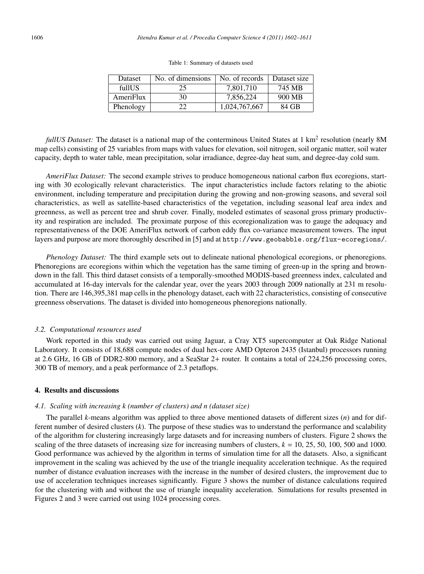| <b>Dataset</b> | No. of dimensions | No. of records | Dataset size |
|----------------|-------------------|----------------|--------------|
| fullUS         | 25                | 7.801.710      | 745 MB       |
| AmeriFlux      | 30                | 7.856.224      | 900 MB       |
| Phenology      | 22.               | 1,024,767,667  | 84 GB        |

Table 1: Summary of datasets used

*fullUS Dataset:* The dataset is a national map of the conterminous United States at 1 km<sup>2</sup> resolution (nearly 8M map cells) consisting of 25 variables from maps with values for elevation, soil nitrogen, soil organic matter, soil water capacity, depth to water table, mean precipitation, solar irradiance, degree-day heat sum, and degree-day cold sum.

*AmeriFlux Dataset:* The second example strives to produce homogeneous national carbon flux ecoregions, starting with 30 ecologically relevant characteristics. The input characteristics include factors relating to the abiotic environment, including temperature and precipitation during the growing and non-growing seasons, and several soil characteristics, as well as satellite-based characteristics of the vegetation, including seasonal leaf area index and greenness, as well as percent tree and shrub cover. Finally, modeled estimates of seasonal gross primary productivity and respiration are included. The proximate purpose of this ecoregionalization was to gauge the adequacy and representativeness of the DOE AmeriFlux network of carbon eddy flux co-variance measurement towers. The input layers and purpose are more thoroughly described in [5] and at http://www.geobabble.org/flux-ecoregions/.

*Phenology Dataset:* The third example sets out to delineate national phenological ecoregions, or phenoregions. Phenoregions are ecoregions within which the vegetation has the same timing of green-up in the spring and browndown in the fall. This third dataset consists of a temporally-smoothed MODIS-based greenness index, calculated and accumulated at 16-day intervals for the calendar year, over the years 2003 through 2009 nationally at 231 m resolution. There are 146,395,381 map cells in the phenology dataset, each with 22 characteristics, consisting of consecutive greenness observations. The dataset is divided into homogeneous phenoregions nationally.

#### *3.2. Computational resources used*

Work reported in this study was carried out using Jaguar, a Cray XT5 supercomputer at Oak Ridge National Laboratory. It consists of 18,688 compute nodes of dual hex-core AMD Opteron 2435 (Istanbul) processors running at 2.6 GHz, 16 GB of DDR2-800 memory, and a SeaStar 2+ router. It contains a total of 224,256 processing cores, 300 TB of memory, and a peak performance of 2.3 petaflops.

#### 4. Results and discussions

### *4.1. Scaling with increasing k (number of clusters) and n (dataset size)*

The parallel *k*-means algorithm was applied to three above mentioned datasets of different sizes (*n*) and for different number of desired clusters (*k*). The purpose of these studies was to understand the performance and scalability of the algorithm for clustering increasingly large datasets and for increasing numbers of clusters. Figure 2 shows the scaling of the three datasets of increasing size for increasing numbers of clusters,  $k = 10, 25, 50, 100, 500$  and 1000. Good performance was achieved by the algorithm in terms of simulation time for all the datasets. Also, a significant improvement in the scaling was achieved by the use of the triangle inequality acceleration technique. As the required number of distance evaluation increases with the increase in the number of desired clusters, the improvement due to use of acceleration techniques increases significantly. Figure 3 shows the number of distance calculations required for the clustering with and without the use of triangle inequality acceleration. Simulations for results presented in Figures 2 and 3 were carried out using 1024 processing cores.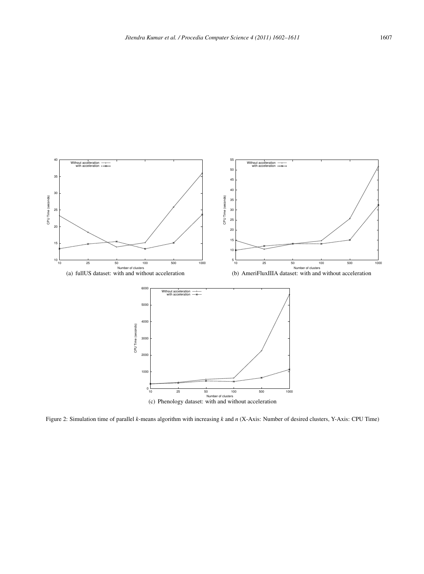

Figure 2: Simulation time of parallel *k*-means algorithm with increasing *k* and *n* (X-Axis: Number of desired clusters, Y-Axis: CPU Time)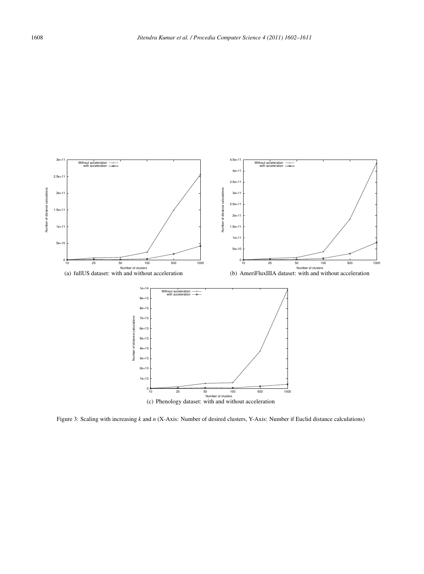

Figure 3: Scaling with increasing *k* and *n* (X-Axis: Number of desired clusters, Y-Axis: Number if Euclid distance calculations)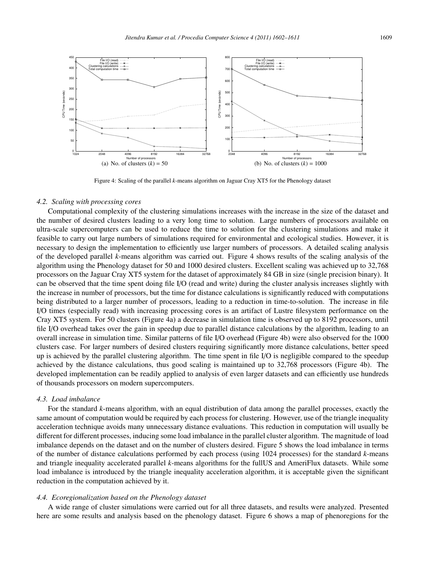

Figure 4: Scaling of the parallel *k*-means algorithm on Jaguar Cray XT5 for the Phenology dataset

#### *4.2. Scaling with processing cores*

Computational complexity of the clustering simulations increases with the increase in the size of the dataset and the number of desired clusters leading to a very long time to solution. Large numbers of processors available on ultra-scale supercomputers can be used to reduce the time to solution for the clustering simulations and make it feasible to carry out large numbers of simulations required for environmental and ecological studies. However, it is necessary to design the implementation to efficiently use larger numbers of processors. A detailed scaling analysis of the developed parallel *k*-means algorithm was carried out. Figure 4 shows results of the scaling analysis of the algorithm using the Phenology dataset for 50 and 1000 desired clusters. Excellent scaling was achieved up to 32,768 processors on the Jaguar Cray XT5 system for the dataset of approximately 84 GB in size (single precision binary). It can be observed that the time spent doing file I/O (read and write) during the cluster analysis increases slightly with the increase in number of processors, but the time for distance calculations is significantly reduced with computations being distributed to a larger number of processors, leading to a reduction in time-to-solution. The increase in file I/O times (especially read) with increasing processing cores is an artifact of Lustre filesystem performance on the Cray XT5 system. For 50 clusters (Figure 4a) a decrease in simulation time is observed up to 8192 processors, until file I/O overhead takes over the gain in speedup due to parallel distance calculations by the algorithm, leading to an overall increase in simulation time. Similar patterns of file I/O overhead (Figure 4b) were also observed for the 1000 clusters case. For larger numbers of desired clusters requiring significantly more distance calculations, better speed up is achieved by the parallel clustering algorithm. The time spent in file I/O is negligible compared to the speedup achieved by the distance calculations, thus good scaling is maintained up to 32,768 processors (Figure 4b). The developed implementation can be readily applied to analysis of even larger datasets and can efficiently use hundreds of thousands processors on modern supercomputers.

#### *4.3. Load imbalance*

For the standard *k*-means algorithm, with an equal distribution of data among the parallel processes, exactly the same amount of computation would be required by each process for clustering. However, use of the triangle inequality acceleration technique avoids many unnecessary distance evaluations. This reduction in computation will usually be different for different processes, inducing some load imbalance in the parallel cluster algorithm. The magnitude of load imbalance depends on the dataset and on the number of clusters desired. Figure 5 shows the load imbalance in terms of the number of distance calculations performed by each process (using 1024 processes) for the standard *k*-means and triangle inequality accelerated parallel *k*-means algorithms for the fullUS and AmeriFlux datasets. While some load imbalance is introduced by the triangle inequality acceleration algorithm, it is acceptable given the significant reduction in the computation achieved by it.

#### *4.4. Ecoregionalization based on the Phenology dataset*

A wide range of cluster simulations were carried out for all three datasets, and results were analyzed. Presented here are some results and analysis based on the phenology dataset. Figure 6 shows a map of phenoregions for the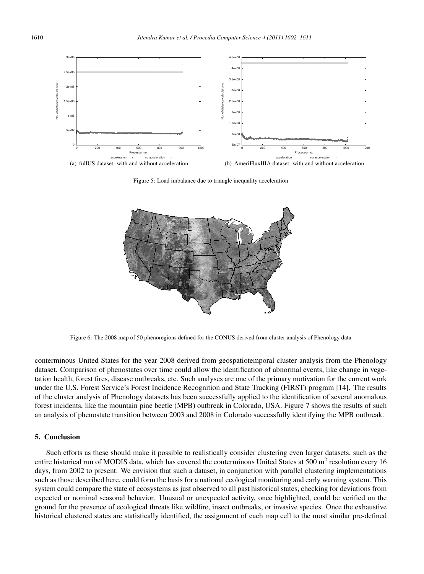

Figure 5: Load imbalance due to triangle inequality acceleration



Figure 6: The 2008 map of 50 phenoregions defined for the CONUS derived from cluster analysis of Phenology data

conterminous United States for the year 2008 derived from geospatiotemporal cluster analysis from the Phenology dataset. Comparison of phenostates over time could allow the identification of abnormal events, like change in vegetation health, forest fires, disease outbreaks, etc. Such analyses are one of the primary motivation for the current work under the U.S. Forest Service's Forest Incidence Recognition and State Tracking (FIRST) program [14]. The results of the cluster analysis of Phenology datasets has been successfully applied to the identification of several anomalous forest incidents, like the mountain pine beetle (MPB) outbreak in Colorado, USA. Figure 7 shows the results of such an analysis of phenostate transition between 2003 and 2008 in Colorado successfully identifying the MPB outbreak.

#### 5. Conclusion

Such efforts as these should make it possible to realistically consider clustering even larger datasets, such as the entire historical run of MODIS data, which has covered the conterminous United States at 500  $m<sup>2</sup>$  resolution every 16 days, from 2002 to present. We envision that such a dataset, in conjunction with parallel clustering implementations such as those described here, could form the basis for a national ecological monitoring and early warning system. This system could compare the state of ecosystems as just observed to all past historical states, checking for deviations from expected or nominal seasonal behavior. Unusual or unexpected activity, once highlighted, could be verified on the ground for the presence of ecological threats like wildfire, insect outbreaks, or invasive species. Once the exhaustive historical clustered states are statistically identified, the assignment of each map cell to the most similar pre-defined